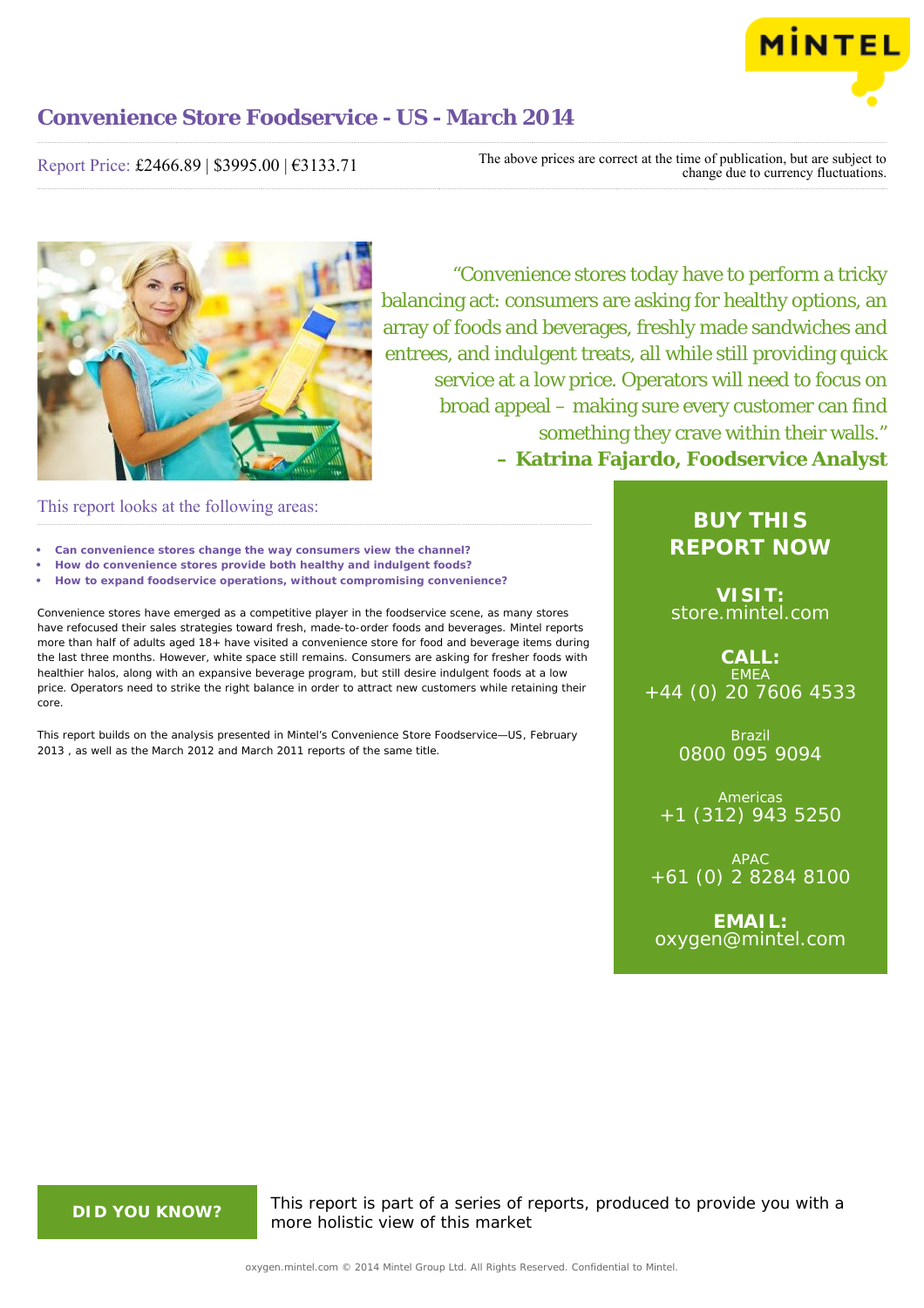

Report Price: £2466.89 | \$3995.00 | €3133.71

The above prices are correct at the time of publication, but are subject to change due to currency fluctuations.



"Convenience stores today have to perform a tricky balancing act: consumers are asking for healthy options, an array of foods and beverages, freshly made sandwiches and entrees, and indulgent treats, all while still providing quick service at a low price. Operators will need to focus on broad appeal – making sure every customer can find something they crave within their walls." **– Katrina Fajardo, Foodservice Analyst**

## This report looks at the following areas:

- **• Can convenience stores change the way consumers view the channel?**
- **• How do convenience stores provide both healthy and indulgent foods?**
- **• How to expand foodservice operations, without compromising convenience?**

Convenience stores have emerged as a competitive player in the foodservice scene, as many stores have refocused their sales strategies toward fresh, made-to-order foods and beverages. Mintel reports more than half of adults aged 18+ have visited a convenience store for food and beverage items during the last three months. However, white space still remains. Consumers are asking for fresher foods with healthier halos, along with an expansive beverage program, but still desire indulgent foods at a low price. Operators need to strike the right balance in order to attract new customers while retaining their core.

This report builds on the analysis presented in Mintel's *Convenience Store Foodservice—US, February 2013* , as well as the March 2012 and March 2011 reports of the same title.

# **BUY THIS REPORT NOW**

**VISIT:** [store.mintel.com](http://oxygen.mintel.com//display/store/680645/)

**CALL:** EMEA +44 (0) 20 7606 4533

> Brazil 0800 095 9094

**Americas** +1 (312) 943 5250

APAC +61 (0) 2 8284 8100

**EMAIL:** [oxygen@mintel.com](mailto:oxygen@mintel.com)

**DID YOU KNOW?** This report is part of a series of reports, produced to provide you with a more holistic view of this market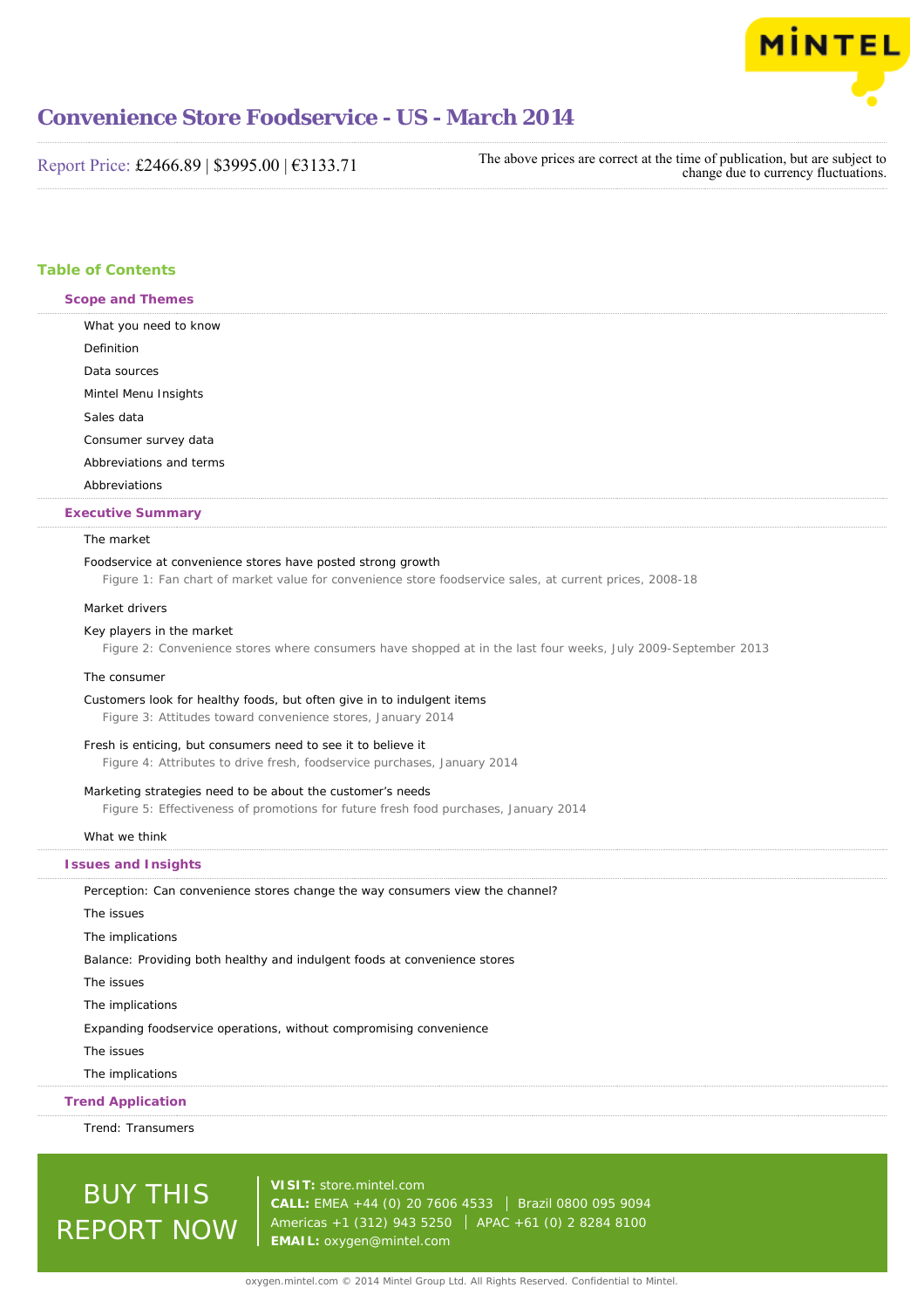

Report Price: £2466.89 | \$3995.00 | €3133.71

The above prices are correct at the time of publication, but are subject to change due to currency fluctuations.

## **Table of Contents**

**Scope and Themes**

What you need to know Definition Data sources Mintel Menu Insights Sales data Consumer survey data Abbreviations and terms Abbreviations

## **Executive Summary**

#### The market

#### Foodservice at convenience stores have posted strong growth

Figure 1: Fan chart of market value for convenience store foodservice sales, at current prices, 2008-18

#### Market drivers

#### Key players in the market

Figure 2: Convenience stores where consumers have shopped at in the last four weeks, July 2009-September 2013

#### The consumer

Customers look for healthy foods, but often give in to indulgent items

Figure 3: Attitudes toward convenience stores, January 2014

#### Fresh is enticing, but consumers need to see it to believe it

Figure 4: Attributes to drive fresh, foodservice purchases, January 2014

#### Marketing strategies need to be about the customer's needs

Figure 5: Effectiveness of promotions for future fresh food purchases, January 2014

#### What we think

#### **Issues and Insights**

Perception: Can convenience stores change the way consumers view the channel? The issues The implications Balance: Providing both healthy and indulgent foods at convenience stores The issues The implications Expanding foodservice operations, without compromising convenience The issues The implications

### **Trend Application**

Trend: Transumers

# BUY THIS REPORT NOW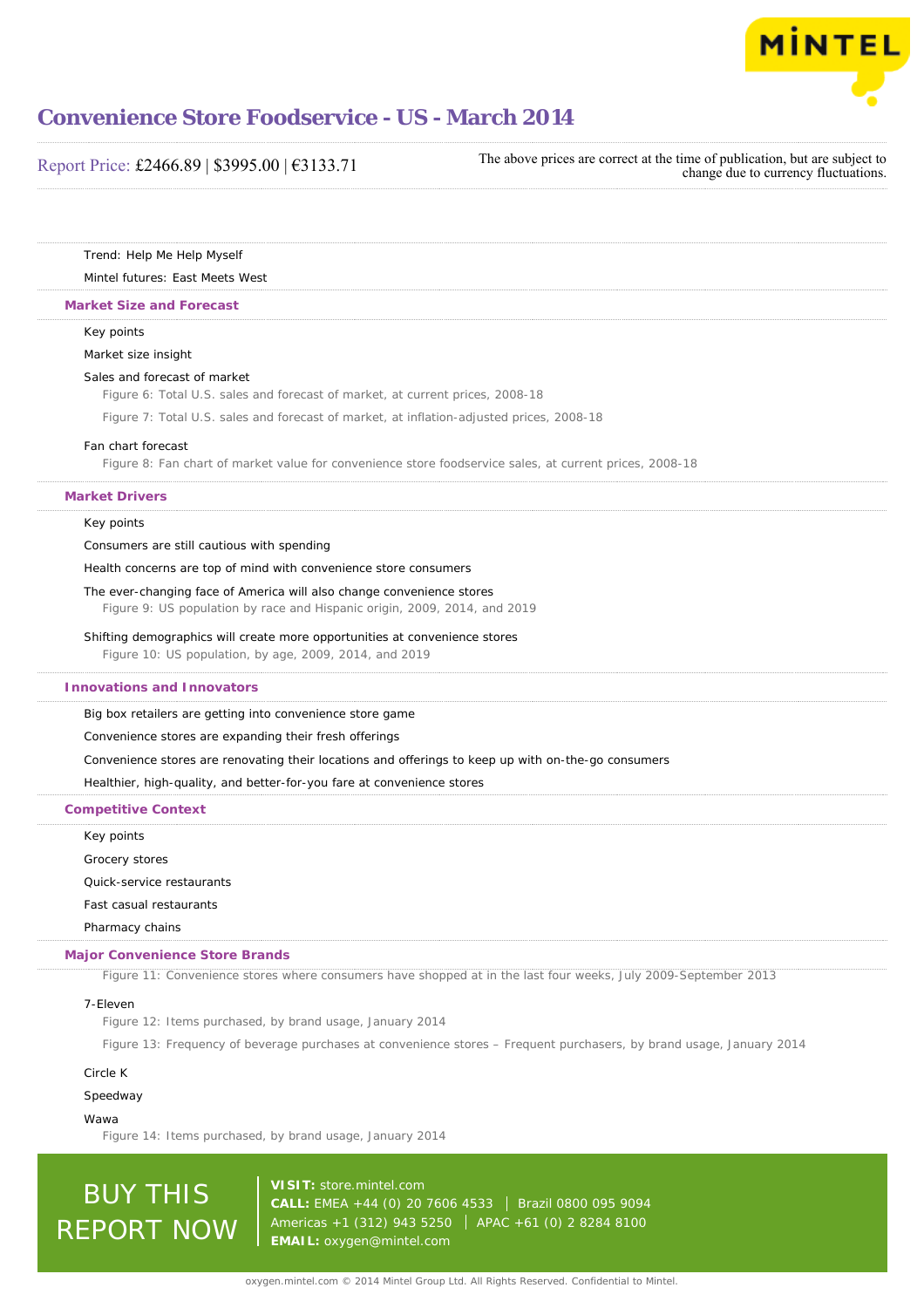

## Report Price: £2466.89 | \$3995.00 | €3133.71

The above prices are correct at the time of publication, but are subject to change due to currency fluctuations.

Trend: Help Me Help Myself

## Mintel futures: East Meets West

#### **Market Size and Forecast**

Key points

#### Market size insight

#### Sales and forecast of market

Figure 6: Total U.S. sales and forecast of market, at current prices, 2008-18

Figure 7: Total U.S. sales and forecast of market, at inflation-adjusted prices, 2008-18

#### Fan chart forecast

Figure 8: Fan chart of market value for convenience store foodservice sales, at current prices, 2008-18

#### **Market Drivers**

#### Key points

Consumers are still cautious with spending

Health concerns are top of mind with convenience store consumers

The ever-changing face of America will also change convenience stores

Figure 9: US population by race and Hispanic origin, 2009, 2014, and 2019

#### Shifting demographics will create more opportunities at convenience stores

Figure 10: US population, by age, 2009, 2014, and 2019

#### **Innovations and Innovators**

Big box retailers are getting into convenience store game

Convenience stores are expanding their fresh offerings

Convenience stores are renovating their locations and offerings to keep up with on-the-go consumers

Healthier, high-quality, and better-for-you fare at convenience stores

**Competitive Context**

Key points

Grocery stores

Quick-service restaurants

Fast casual restaurants

Pharmacy chains

#### **Major Convenience Store Brands**

Figure 11: Convenience stores where consumers have shopped at in the last four weeks, July 2009-September 2013

#### 7-Eleven

Figure 12: Items purchased, by brand usage, January 2014

Figure 13: Frequency of beverage purchases at convenience stores – Frequent purchasers, by brand usage, January 2014

#### Circle K

Speedway

#### Wawa

Figure 14: Items purchased, by brand usage, January 2014

**BUY THIS** REPORT NOW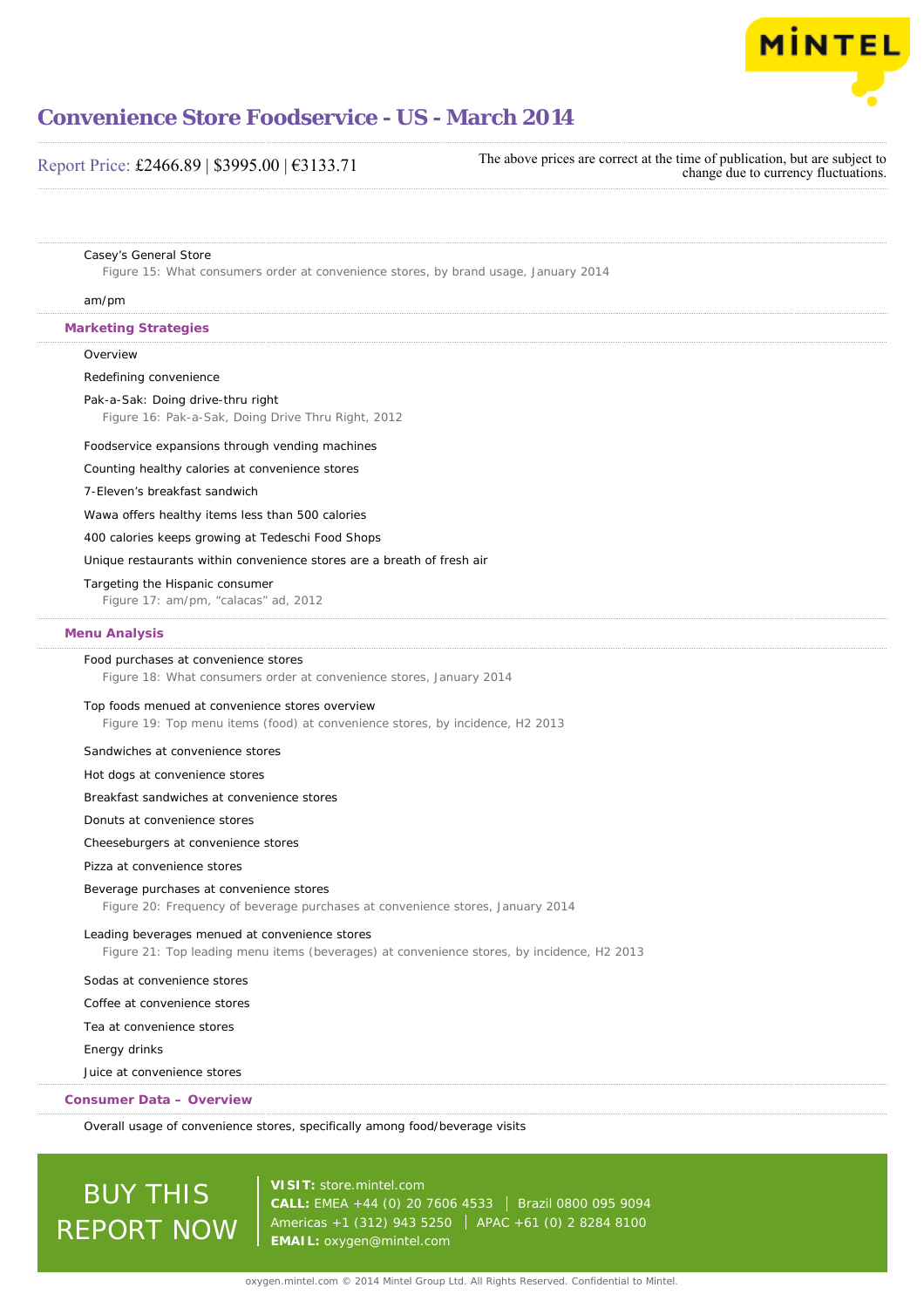

## Report Price: £2466.89 | \$3995.00 | €3133.71

The above prices are correct at the time of publication, but are subject to change due to currency fluctuations.

#### Casey's General Store

Figure 15: What consumers order at convenience stores, by brand usage, January 2014

#### am/pm

#### **Marketing Strategies**

**Overview** 

#### Redefining convenience

Pak-a-Sak: Doing drive-thru right

Figure 16: Pak-a-Sak, Doing Drive Thru Right, 2012

#### Foodservice expansions through vending machines

Counting healthy calories at convenience stores

#### 7-Eleven's breakfast sandwich

Wawa offers healthy items less than 500 calories

400 calories keeps growing at Tedeschi Food Shops

### Unique restaurants within convenience stores are a breath of fresh air

#### Targeting the Hispanic consumer

Figure 17: am/pm, "calacas" ad, 2012

#### **Menu Analysis**

#### Food purchases at convenience stores

Figure 18: What consumers order at convenience stores, January 2014

#### Top foods menued at convenience stores overview

Figure 19: Top menu items (food) at convenience stores, by incidence, H2 2013

#### Sandwiches at convenience stores

#### Hot dogs at convenience stores

Breakfast sandwiches at convenience stores

#### Donuts at convenience stores

#### Cheeseburgers at convenience stores

Pizza at convenience stores

#### Beverage purchases at convenience stores

Figure 20: Frequency of beverage purchases at convenience stores, January 2014

#### Leading beverages menued at convenience stores

Figure 21: Top leading menu items (beverages) at convenience stores, by incidence, H2 2013

#### Sodas at convenience stores

Coffee at convenience stores

Tea at convenience stores

#### Energy drinks

Juice at convenience stores

#### **Consumer Data – Overview**

Overall usage of convenience stores, specifically among food/beverage visits

# BUY THIS REPORT NOW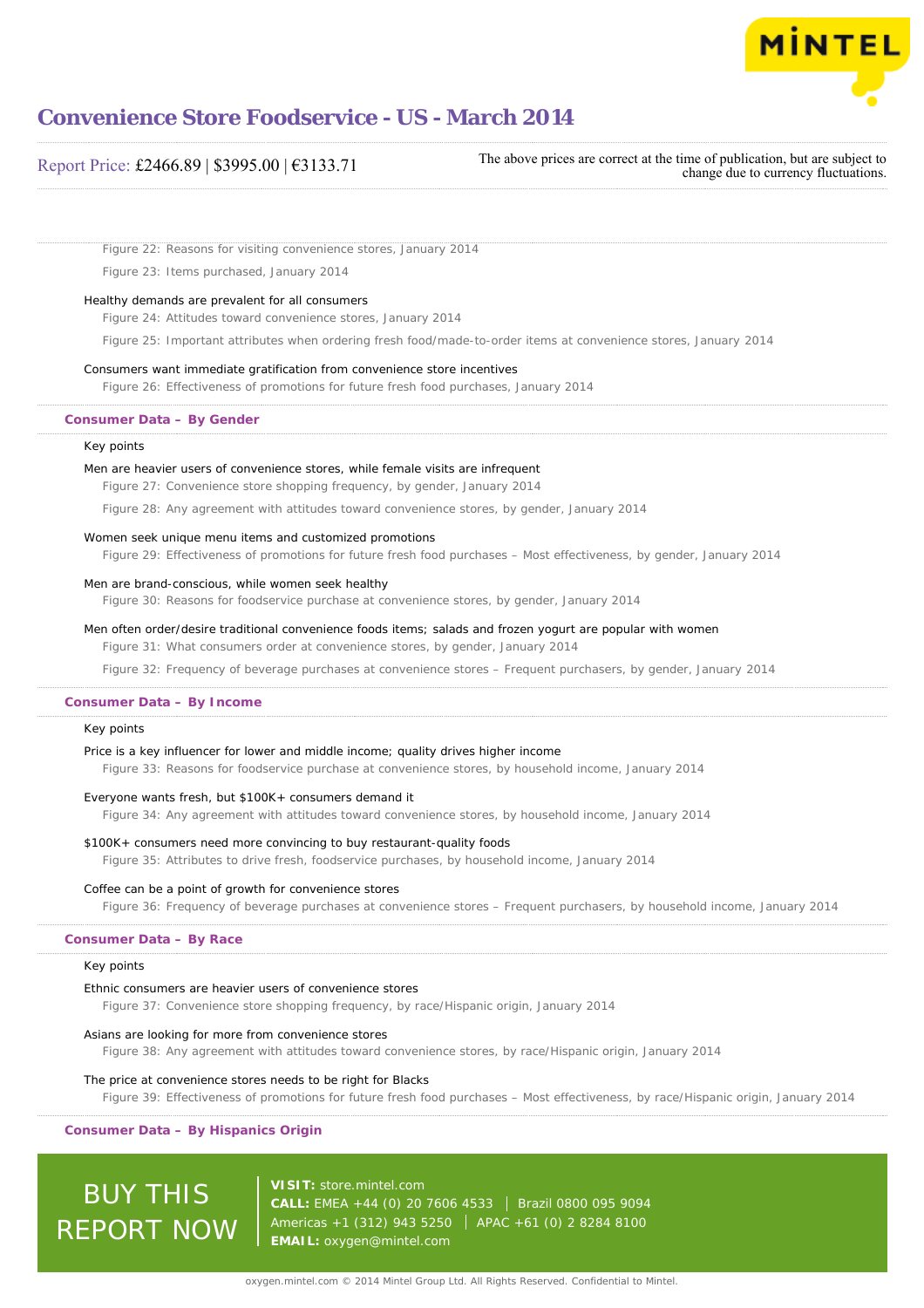

## Report Price: £2466.89 | \$3995.00 | €3133.71

The above prices are correct at the time of publication, but are subject to change due to currency fluctuations.

Figure 22: Reasons for visiting convenience stores, January 2014

Figure 23: Items purchased, January 2014

#### Healthy demands are prevalent for all consumers

Figure 24: Attitudes toward convenience stores, January 2014

Figure 25: Important attributes when ordering fresh food/made-to-order items at convenience stores, January 2014

#### Consumers want immediate gratification from convenience store incentives

Figure 26: Effectiveness of promotions for future fresh food purchases, January 2014

### **Consumer Data – By Gender**

#### Key points

#### Men are heavier users of convenience stores, while female visits are infrequent

Figure 27: Convenience store shopping frequency, by gender, January 2014

Figure 28: Any agreement with attitudes toward convenience stores, by gender, January 2014

#### Women seek unique menu items and customized promotions

Figure 29: Effectiveness of promotions for future fresh food purchases – Most effectiveness, by gender, January 2014

#### Men are brand-conscious, while women seek healthy

Figure 30: Reasons for foodservice purchase at convenience stores, by gender, January 2014

#### Men often order/desire traditional convenience foods items; salads and frozen yogurt are popular with women

Figure 31: What consumers order at convenience stores, by gender, January 2014

Figure 32: Frequency of beverage purchases at convenience stores – Frequent purchasers, by gender, January 2014

### **Consumer Data – By Income**

#### Key points

#### Price is a key influencer for lower and middle income; quality drives higher income

Figure 33: Reasons for foodservice purchase at convenience stores, by household income, January 2014

#### Everyone wants fresh, but \$100K+ consumers demand it

Figure 34: Any agreement with attitudes toward convenience stores, by household income, January 2014

#### \$100K+ consumers need more convincing to buy restaurant-quality foods

Figure 35: Attributes to drive fresh, foodservice purchases, by household income, January 2014

#### Coffee can be a point of growth for convenience stores

Figure 36: Frequency of beverage purchases at convenience stores – Frequent purchasers, by household income, January 2014

#### **Consumer Data – By Race**

#### Key points

#### Ethnic consumers are heavier users of convenience stores

Figure 37: Convenience store shopping frequency, by race/Hispanic origin, January 2014

#### Asians are looking for more from convenience stores

Figure 38: Any agreement with attitudes toward convenience stores, by race/Hispanic origin, January 2014

#### The price at convenience stores needs to be right for Blacks

Figure 39: Effectiveness of promotions for future fresh food purchases – Most effectiveness, by race/Hispanic origin, January 2014

#### **Consumer Data – By Hispanics Origin**

BUY THIS REPORT NOW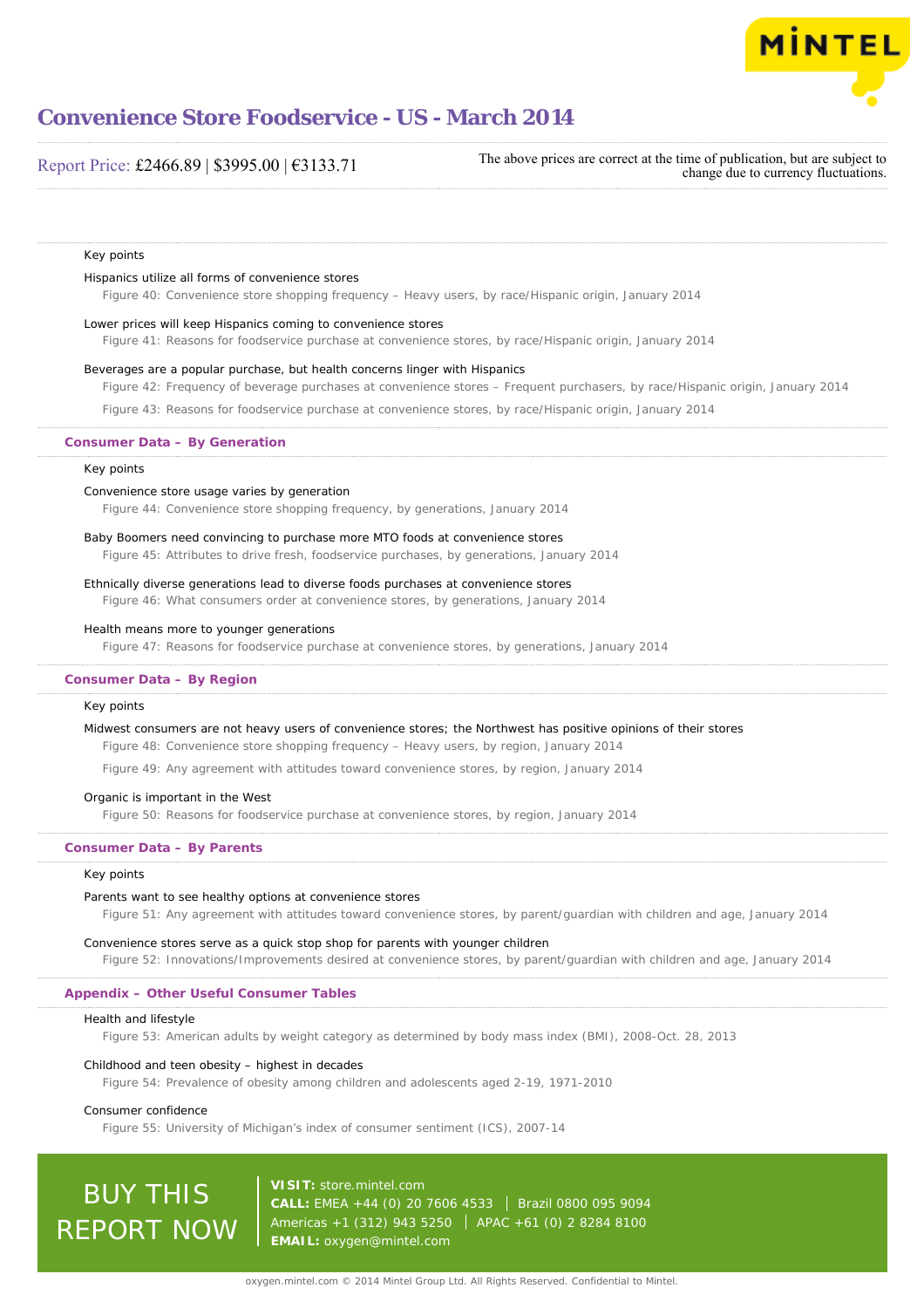

## Report Price: £2466.89 | \$3995.00 | €3133.71

The above prices are correct at the time of publication, but are subject to change due to currency fluctuations.

#### Key points

#### Hispanics utilize all forms of convenience stores

Figure 40: Convenience store shopping frequency – Heavy users, by race/Hispanic origin, January 2014

#### Lower prices will keep Hispanics coming to convenience stores

Figure 41: Reasons for foodservice purchase at convenience stores, by race/Hispanic origin, January 2014

#### Beverages are a popular purchase, but health concerns linger with Hispanics

Figure 42: Frequency of beverage purchases at convenience stores – Frequent purchasers, by race/Hispanic origin, January 2014

Figure 43: Reasons for foodservice purchase at convenience stores, by race/Hispanic origin, January 2014

#### **Consumer Data – By Generation**

#### Key points

#### Convenience store usage varies by generation

Figure 44: Convenience store shopping frequency, by generations, January 2014

#### Baby Boomers need convincing to purchase more MTO foods at convenience stores

Figure 45: Attributes to drive fresh, foodservice purchases, by generations, January 2014

#### Ethnically diverse generations lead to diverse foods purchases at convenience stores

Figure 46: What consumers order at convenience stores, by generations, January 2014

#### Health means more to younger generations

Figure 47: Reasons for foodservice purchase at convenience stores, by generations, January 2014

#### **Consumer Data – By Region**

#### Key points

#### Midwest consumers are not heavy users of convenience stores; the Northwest has positive opinions of their stores

Figure 48: Convenience store shopping frequency – Heavy users, by region, January 2014

Figure 49: Any agreement with attitudes toward convenience stores, by region, January 2014

#### Organic is important in the West

Figure 50: Reasons for foodservice purchase at convenience stores, by region, January 2014

#### **Consumer Data – By Parents**

#### Key points

#### Parents want to see healthy options at convenience stores

Figure 51: Any agreement with attitudes toward convenience stores, by parent/guardian with children and age, January 2014

#### Convenience stores serve as a quick stop shop for parents with younger children

Figure 52: Innovations/Improvements desired at convenience stores, by parent/guardian with children and age, January 2014

#### **Appendix – Other Useful Consumer Tables**

#### Health and lifestyle

Figure 53: American adults by weight category as determined by body mass index (BMI), 2008-Oct. 28, 2013

#### Childhood and teen obesity – highest in decades

Figure 54: Prevalence of obesity among children and adolescents aged 2-19, 1971-2010

#### Consumer confidence

Figure 55: University of Michigan's index of consumer sentiment (ICS), 2007-14

# **BUY THIS** REPORT NOW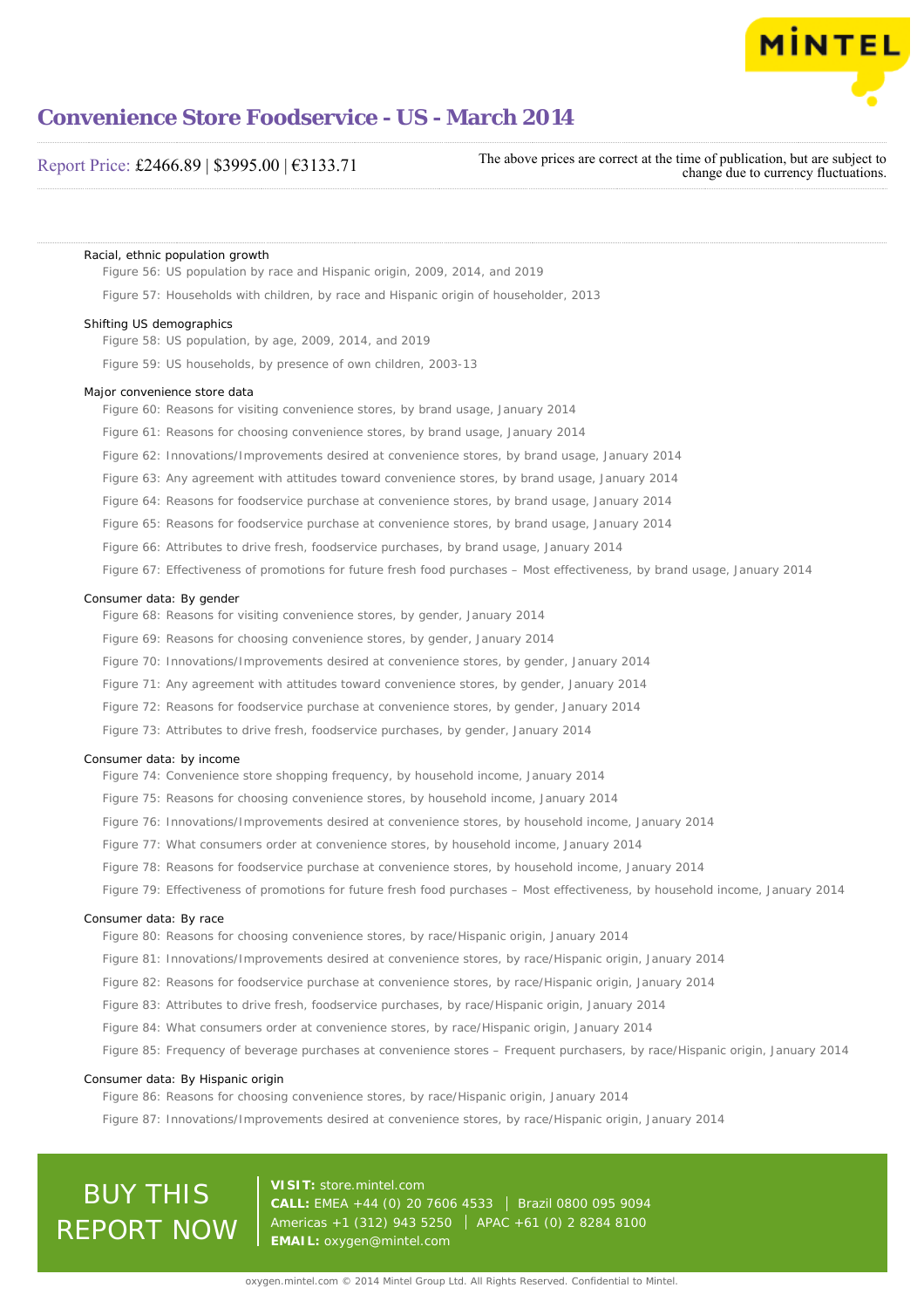

## Report Price: £2466.89 | \$3995.00 | €3133.71

The above prices are correct at the time of publication, but are subject to change due to currency fluctuations.

Racial, ethnic population growth

Figure 56: US population by race and Hispanic origin, 2009, 2014, and 2019

Figure 57: Households with children, by race and Hispanic origin of householder, 2013

#### Shifting US demographics

Figure 58: US population, by age, 2009, 2014, and 2019

Figure 59: US households, by presence of own children, 2003-13

#### Major convenience store data

Figure 60: Reasons for visiting convenience stores, by brand usage, January 2014

Figure 61: Reasons for choosing convenience stores, by brand usage, January 2014

Figure 62: Innovations/Improvements desired at convenience stores, by brand usage, January 2014

Figure 63: Any agreement with attitudes toward convenience stores, by brand usage, January 2014

Figure 64: Reasons for foodservice purchase at convenience stores, by brand usage, January 2014

Figure 65: Reasons for foodservice purchase at convenience stores, by brand usage, January 2014

Figure 66: Attributes to drive fresh, foodservice purchases, by brand usage, January 2014

Figure 67: Effectiveness of promotions for future fresh food purchases – Most effectiveness, by brand usage, January 2014

#### Consumer data: By gender

Figure 68: Reasons for visiting convenience stores, by gender, January 2014

- Figure 69: Reasons for choosing convenience stores, by gender, January 2014
- Figure 70: Innovations/Improvements desired at convenience stores, by gender, January 2014
- Figure 71: Any agreement with attitudes toward convenience stores, by gender, January 2014
- Figure 72: Reasons for foodservice purchase at convenience stores, by gender, January 2014

Figure 73: Attributes to drive fresh, foodservice purchases, by gender, January 2014

#### Consumer data: by income

- Figure 74: Convenience store shopping frequency, by household income, January 2014
- Figure 75: Reasons for choosing convenience stores, by household income, January 2014
- Figure 76: Innovations/Improvements desired at convenience stores, by household income, January 2014
- Figure 77: What consumers order at convenience stores, by household income, January 2014
- Figure 78: Reasons for foodservice purchase at convenience stores, by household income, January 2014
- Figure 79: Effectiveness of promotions for future fresh food purchases Most effectiveness, by household income, January 2014

#### Consumer data: By race

Figure 80: Reasons for choosing convenience stores, by race/Hispanic origin, January 2014

- Figure 81: Innovations/Improvements desired at convenience stores, by race/Hispanic origin, January 2014
- Figure 82: Reasons for foodservice purchase at convenience stores, by race/Hispanic origin, January 2014
- Figure 83: Attributes to drive fresh, foodservice purchases, by race/Hispanic origin, January 2014
- Figure 84: What consumers order at convenience stores, by race/Hispanic origin, January 2014
- Figure 85: Frequency of beverage purchases at convenience stores Frequent purchasers, by race/Hispanic origin, January 2014

#### Consumer data: By Hispanic origin

Figure 86: Reasons for choosing convenience stores, by race/Hispanic origin, January 2014

Figure 87: Innovations/Improvements desired at convenience stores, by race/Hispanic origin, January 2014

# BUY THIS REPORT NOW